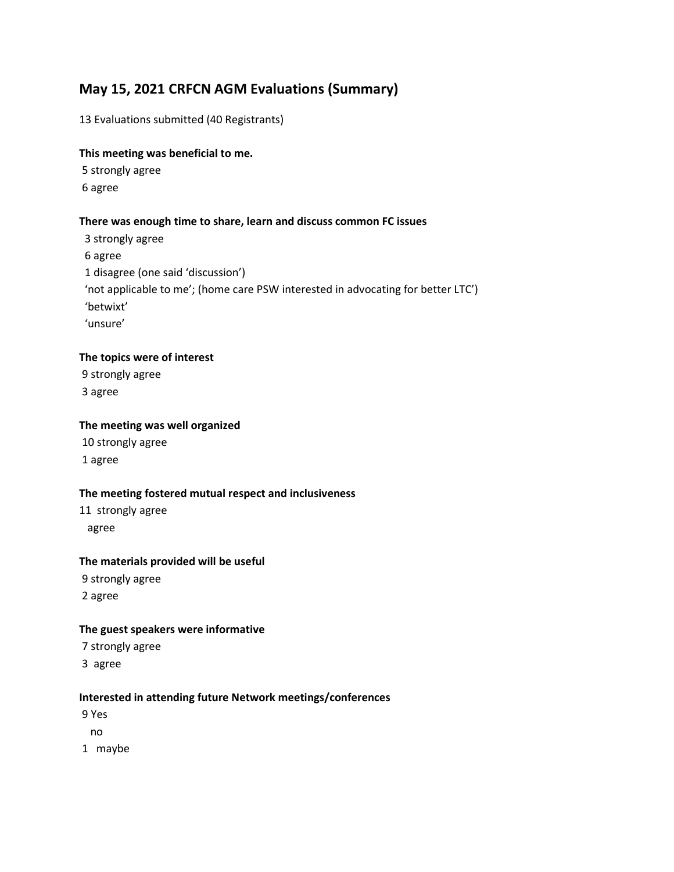# May 15, 2021 CRFCN AGM Evaluations (Summary)

13 Evaluations submitted (40 Registrants)

#### This meeting was beneficial to me.

 5 strongly agree 6 agree

## There was enough time to share, learn and discuss common FC issues

 3 strongly agree 6 agree 1 disagree (one said 'discussion') 'not applicable to me'; (home care PSW interested in advocating for better LTC') 'betwixt' 'unsure'

## The topics were of interest

 9 strongly agree 3 agree

### The meeting was well organized

 10 strongly agree 1 agree

#### The meeting fostered mutual respect and inclusiveness

11 strongly agree agree

#### The materials provided will be useful

 9 strongly agree 2 agree

### The guest speakers were informative

7 strongly agree

3 agree

#### Interested in attending future Network meetings/conferences

9 Yes

no

1 maybe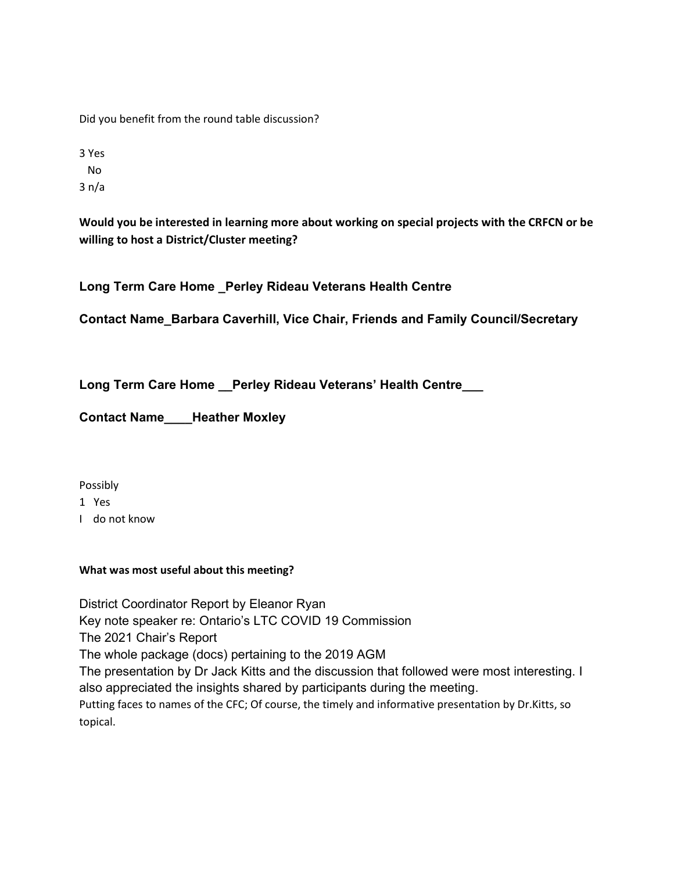Did you benefit from the round table discussion?

3 Yes No 3 n/a

Would you be interested in learning more about working on special projects with the CRFCN or be willing to host a District/Cluster meeting?

Long Term Care Home \_Perley Rideau Veterans Health Centre

Contact Name\_Barbara Caverhill, Vice Chair, Friends and Family Council/Secretary

Long Term Care Home \_\_ Perley Rideau Veterans' Health Centre\_\_\_

Contact Name\_\_\_\_Heather Moxley

Possibly

1 Yes

I do not know

# What was most useful about this meeting?

District Coordinator Report by Eleanor Ryan Key note speaker re: Ontario's LTC COVID 19 Commission The 2021 Chair's Report The whole package (docs) pertaining to the 2019 AGM The presentation by Dr Jack Kitts and the discussion that followed were most interesting. I also appreciated the insights shared by participants during the meeting. Putting faces to names of the CFC; Of course, the timely and informative presentation by Dr.Kitts, so topical.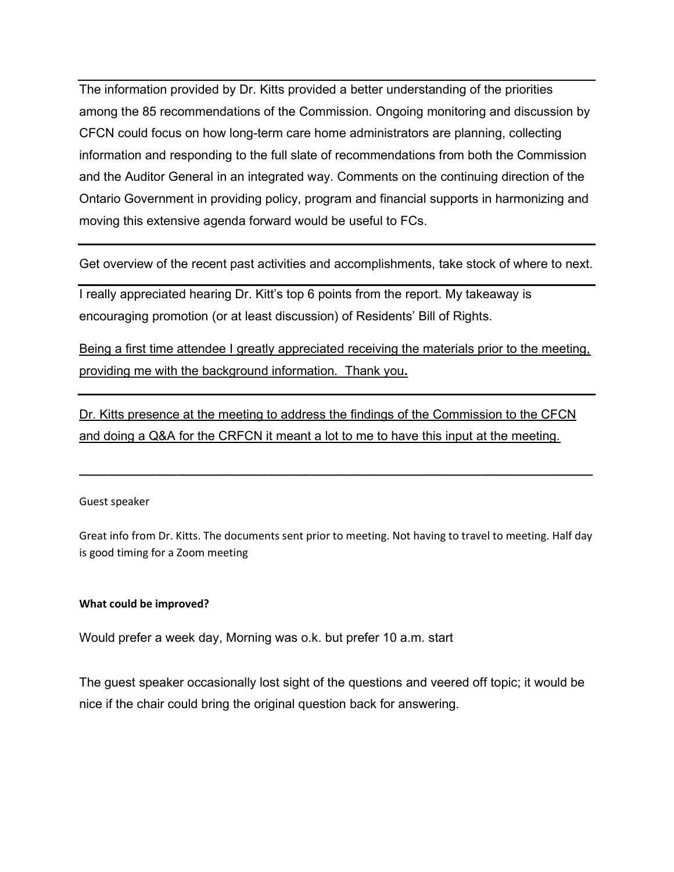The information provided by Dr. Kitts provided a better understanding of the priorities among the 85 recommendations of the Commission. Ongoing monitoring and discussion by CFCN could focus on how long-term care home administrators are planning, collecting information and responding to the full slate of recommendations from both the Commission and the Auditor General in an integrated way. Comments on the continuing direction of the Ontario Government in providing policy, program and financial supports in harmonizing and moving this extensive agenda forward would be useful to FCs.

Get overview of the recent past activities and accomplishments, take stock of where to next.

I really appreciated hearing Dr. Kitt's top 6 points from the report. My takeaway is encouraging promotion (or at least discussion) of Residents' Bill of Rights.

Being a first time attendee I greatly appreciated receiving the materials prior to the meeting, providing me with the background information. Thank you.

Dr. Kitts presence at the meeting to address the findings of the Commission to the CFCN and doing a Q&A for the CRFCN it meant a lot to me to have this input at the meeting.

#### Guest speaker

Great info from Dr. Kitts. The documents sent prior to meeting. Not having to travel to meeting. Half day is good timing for a Zoom meeting

 $\_$  ,  $\_$  ,  $\_$  ,  $\_$  ,  $\_$  ,  $\_$  ,  $\_$  ,  $\_$  ,  $\_$  ,  $\_$  ,  $\_$  ,  $\_$  ,  $\_$  ,  $\_$  ,  $\_$  ,  $\_$  ,  $\_$  ,  $\_$  ,  $\_$ 

#### What could be improved?

Would prefer a week day, Morning was o.k. but prefer 10 a.m. start

The guest speaker occasionally lost sight of the questions and veered off topic; it would be nice if the chair could bring the original question back for answering.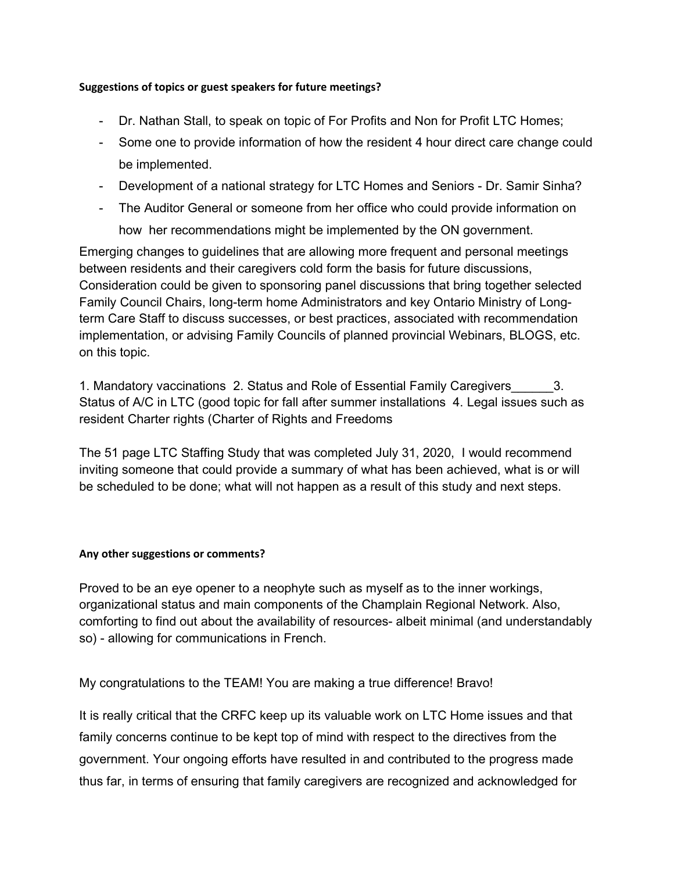# Suggestions of topics or guest speakers for future meetings?

- Dr. Nathan Stall, to speak on topic of For Profits and Non for Profit LTC Homes;
- Some one to provide information of how the resident 4 hour direct care change could be implemented.
- Development of a national strategy for LTC Homes and Seniors Dr. Samir Sinha?
- The Auditor General or someone from her office who could provide information on

how her recommendations might be implemented by the ON government.

Emerging changes to guidelines that are allowing more frequent and personal meetings between residents and their caregivers cold form the basis for future discussions, Consideration could be given to sponsoring panel discussions that bring together selected Family Council Chairs, long-term home Administrators and key Ontario Ministry of Longterm Care Staff to discuss successes, or best practices, associated with recommendation implementation, or advising Family Councils of planned provincial Webinars, BLOGS, etc. on this topic.

1. Mandatory vaccinations 2. Status and Role of Essential Family Caregivers\_\_\_\_\_\_3. Status of A/C in LTC (good topic for fall after summer installations 4. Legal issues such as resident Charter rights (Charter of Rights and Freedoms

The 51 page LTC Staffing Study that was completed July 31, 2020, I would recommend inviting someone that could provide a summary of what has been achieved, what is or will be scheduled to be done; what will not happen as a result of this study and next steps.

# Any other suggestions or comments?

Proved to be an eye opener to a neophyte such as myself as to the inner workings, organizational status and main components of the Champlain Regional Network. Also, comforting to find out about the availability of resources- albeit minimal (and understandably so) - allowing for communications in French.

My congratulations to the TEAM! You are making a true difference! Bravo!

It is really critical that the CRFC keep up its valuable work on LTC Home issues and that family concerns continue to be kept top of mind with respect to the directives from the government. Your ongoing efforts have resulted in and contributed to the progress made thus far, in terms of ensuring that family caregivers are recognized and acknowledged for